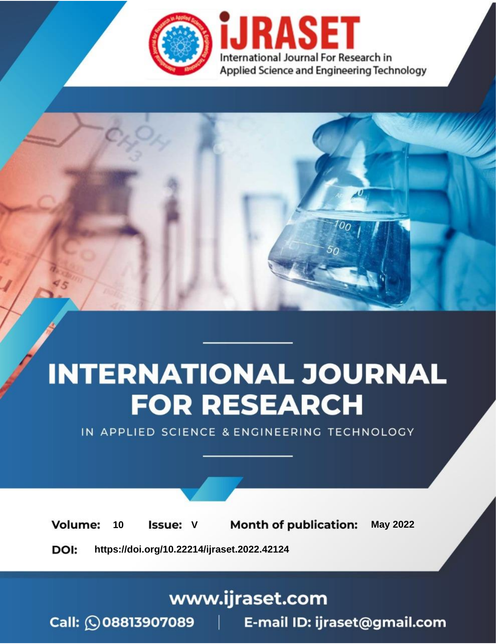

# **INTERNATIONAL JOURNAL FOR RESEARCH**

IN APPLIED SCIENCE & ENGINEERING TECHNOLOGY

**Month of publication: Volume: May 2022** 10 **Issue: V** 

DOI: https://doi.org/10.22214/ijraset.2022.42124

### www.ijraset.com

Call: 008813907089 | E-mail ID: ijraset@gmail.com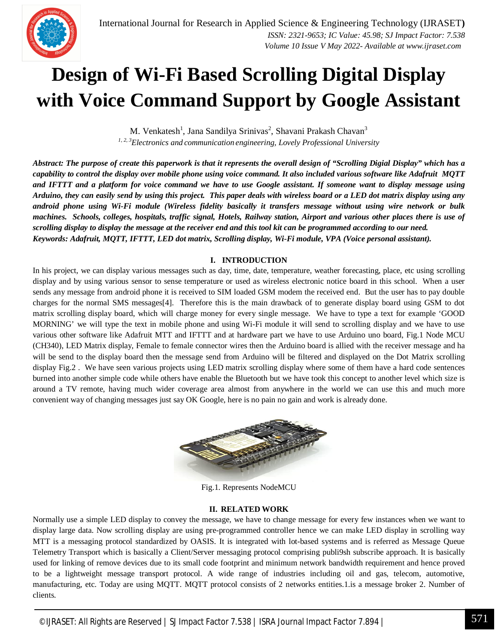### **Design of Wi-Fi Based Scrolling Digital Display with Voice Command Support by Google Assistant**

M. Venkatesh<sup>1</sup>, Jana Sandilya Srinivas<sup>2</sup>, Shavani Prakash Chavan<sup>3</sup> *1, 2, 3Electronics and communication engineering, Lovely Professional University*

*Abstract: The purpose of create this paperwork is that it represents the overall design of "Scrolling Digial Display" which has a capability to control the display over mobile phone using voice command. It also included various software like Adafruit MQTT and IFTTT and a platform for voice command we have to use Google assistant. If someone want to display message using Arduino, they can easily send by using this project. This paper deals with wireless board or a LED dot matrix display using any android phone using Wi-Fi module (Wireless fidelity basically it transfers message without using wire network or bulk machines. Schools, colleges, hospitals, traffic signal, Hotels, Railway station, Airport and various other places there is use of scrolling display to display the message at the receiver end and this tool kit can be programmed according to our need. Keywords: Adafruit, MQTT, IFTTT, LED dot matrix, Scrolling display, Wi-Fi module, VPA (Voice personal assistant).*

#### **I. INTRODUCTION**

In his project, we can display various messages such as day, time, date, temperature, weather forecasting, place, etc using scrolling display and by using various sensor to sense temperature or used as wireless electronic notice board in this school. When a user sends any message from android phone it is received to SIM loaded GSM modem the received end. But the user has to pay double charges for the normal SMS messages[4]. Therefore this is the main drawback of to generate display board using GSM to dot matrix scrolling display board, which will charge money for every single message. We have to type a text for example 'GOOD MORNING' we will type the text in mobile phone and using Wi-Fi module it will send to scrolling display and we have to use various other software like Adafruit MTT and IFTTT and at hardware part we have to use Arduino uno board, Fig.1 Node MCU (CH340), LED Matrix display, Female to female connector wires then the Arduino board is allied with the receiver message and ha will be send to the display board then the message send from Arduino will be filtered and displayed on the Dot Matrix scrolling display Fig.2 . We have seen various projects using LED matrix scrolling display where some of them have a hard code sentences burned into another simple code while others have enable the Bluetooth but we have took this concept to another level which size is around a TV remote, having much wider coverage area almost from anywhere in the world we can use this and much more convenient way of changing messages just say OK Google, here is no pain no gain and work is already done.



Fig.1. Represents NodeMCU

#### **II. RELATED WORK**

Normally use a simple LED display to convey the message, we have to change message for every few instances when we want to display large data. Now scrolling display are using pre-programmed controller hence we can make LED display in scrolling way MTT is a messaging protocol standardized by OASIS. It is integrated with lot-based systems and is referred as Message Queue Telemetry Transport which is basically a Client/Server messaging protocol comprising publi9sh subscribe approach. It is basically used for linking of remove devices due to its small code footprint and minimum network bandwidth requirement and hence proved to be a lightweight message transport protocol. A wide range of industries including oil and gas, telecom, automotive, manufacturing, etc. Today are using MQTT. MQTT protocol consists of 2 networks entities.1.is a message broker 2. Number of clients.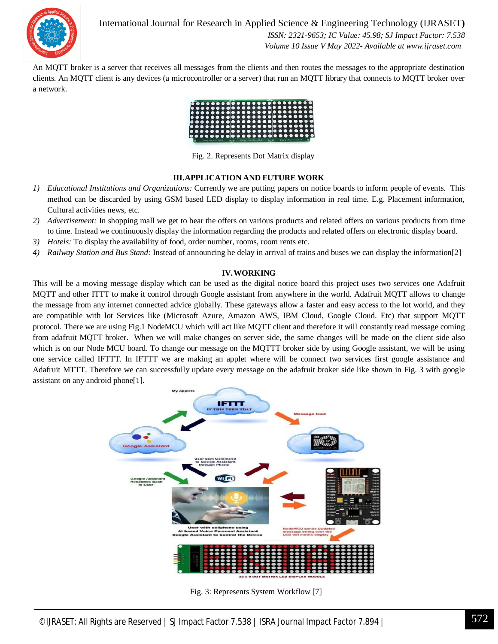

International Journal for Research in Applied Science & Engineering Technology (IJRASET**)**  *ISSN: 2321-9653; IC Value: 45.98; SJ Impact Factor: 7.538 Volume 10 Issue V May 2022- Available at www.ijraset.com*

An MQTT broker is a server that receives all messages from the clients and then routes the messages to the appropriate destination clients. An MQTT client is any devices (a microcontroller or a server) that run an MQTT library that connects to MQTT broker over a network.



Fig. 2. Represents Dot Matrix display

#### **III.APPLICATION AND FUTURE WORK**

- *1) Educational Institutions and Organizations:* Currently we are putting papers on notice boards to inform people of events. This method can be discarded by using GSM based LED display to display information in real time. E.g. Placement information, Cultural activities news, etc.
- *2) Advertisement:* In shopping mall we get to hear the offers on various products and related offers on various products from time to time. Instead we continuously display the information regarding the products and related offers on electronic display board.
- *3) Hotels:* To display the availability of food, order number, rooms, room rents etc.
- *4) Railway Station and Bus Stand:* Instead of announcing he delay in arrival of trains and buses we can display the information[2]

#### **IV.WORKING**

This will be a moving message display which can be used as the digital notice board this project uses two services one Adafruit MQTT and other ITTT to make it control through Google assistant from anywhere in the world. Adafruit MQTT allows to change the message from any internet connected advice globally. These gateways allow a faster and easy access to the lot world, and they are compatible with lot Services like (Microsoft Azure, Amazon AWS, IBM Cloud, Google Cloud. Etc) that support MQTT protocol. There we are using Fig.1 NodeMCU which will act like MQTT client and therefore it will constantly read message coming from adafruit MQTT broker. When we will make changes on server side, the same changes will be made on the client side also which is on our Node MCU board. To change our message on the MQTTT broker side by using Google assistant, we will be using one service called IFTTT. In IFTTT we are making an applet where will be connect two services first google assistance and Adafruit MTTT. Therefore we can successfully update every message on the adafruit broker side like shown in Fig. 3 with google assistant on any android phone[1].



Fig. 3: Represents System Workflow [7]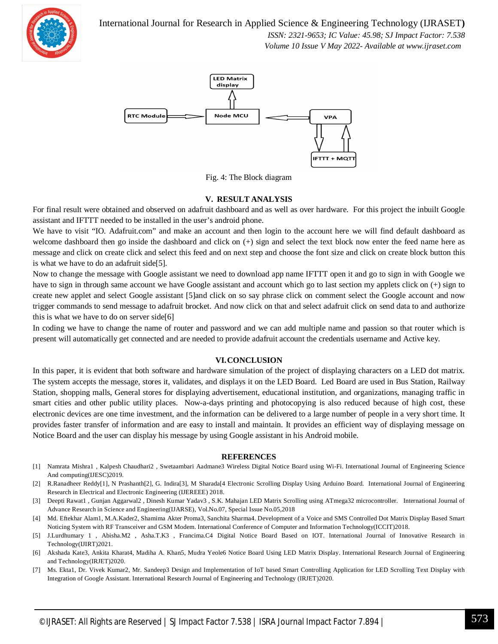International Journal for Research in Applied Science & Engineering Technology (IJRASET**)**



 *ISSN: 2321-9653; IC Value: 45.98; SJ Impact Factor: 7.538 Volume 10 Issue V May 2022- Available at www.ijraset.com*



Fig. 4: The Block diagram

#### **V. RESULT ANALYSIS**

For final result were obtained and observed on adafruit dashboard and as well as over hardware. For this project the inbuilt Google assistant and IFTTT needed to be installed in the user's android phone.

We have to visit "IO. Adafruit.com" and make an account and then login to the account here we will find default dashboard as welcome dashboard then go inside the dashboard and click on (+) sign and select the text block now enter the feed name here as message and click on create click and select this feed and on next step and choose the font size and click on create block button this is what we have to do an adafruit side[5].

Now to change the message with Google assistant we need to download app name IFTTT open it and go to sign in with Google we have to sign in through same account we have Google assistant and account which go to last section my applets click on  $(+)$  sign to create new applet and select Google assistant [5]and click on so say phrase click on comment select the Google account and now trigger commands to send message to adafruit brocket. And now click on that and select adafruit click on send data to and authorize this is what we have to do on server side[6]

In coding we have to change the name of router and password and we can add multiple name and passion so that router which is present will automatically get connected and are needed to provide adafruit account the credentials username and Active key.

#### **VI.CONCLUSION**

In this paper, it is evident that both software and hardware simulation of the project of displaying characters on a LED dot matrix. The system accepts the message, stores it, validates, and displays it on the LED Board. Led Board are used in Bus Station, Railway Station, shopping malls, General stores for displaying advertisement, educational institution, and organizations, managing traffic in smart cities and other public utility places. Now-a-days printing and photocopying is also reduced because of high cost, these electronic devices are one time investment, and the information can be delivered to a large number of people in a very short time. It provides faster transfer of information and are easy to install and maintain. It provides an efficient way of displaying message on Notice Board and the user can display his message by using Google assistant in his Android mobile.

#### **REFERENCES**

- [1] Namrata Mishra1 , Kalpesh Chaudhari2 , Swetaambari Aadmane3 Wireless Digital Notice Board using Wi-Fi. International Journal of Engineering Science And computing(IJESC)2019.
- [2] R.Ranadheer Reddy[1], N Prashanth[2], G. Indira[3], M Sharada[4 Electronic Scrolling Display Using Arduino Board. International Journal of Engineering Research in Electrical and Electronic Engineering (IJEREEE) 2018.
- [3] Deepti Rawat1 , Gunjan Aggarwal2 , Dinesh Kumar Yadav3 , S.K. Mahajan LED Matrix Scrolling using ATmega32 microcontroller. International Journal of Advance Research in Science and Engineering(IJARSE), Vol.No.07, Special Issue No.05,2018
- [4] Md. Eftekhar Alam1, M.A.Kader2, Shamima Akter Proma3, Sanchita Sharma4. Development of a Voice and SMS Controlled Dot Matrix Display Based Smart Noticing System with RF Transceiver and GSM Modem. International Conference of Computer and Information Technology(ICCIT)2018.
- [5] J.Lurdhumary 1 , Abisha.M2 , Asha.T.K3 , Francima.C4 Digital Notice Board Based on IOT. International Journal of Innovative Research in Technology(IJIRT)2021.
- [6] Akshada Kate3, Ankita Kharat4, Madiha A. Khan5, Mudra Yeole6 Notice Board Using LED Matrix Display. International Research Journal of Engineering and Technology(IRJET)2020.
- [7] Ms. Ekta1, Dr. Vivek Kumar2, Mr. Sandeep3 Design and Implementation of IoT based Smart Controlling Application for LED Scrolling Text Display with Integration of Google Assistant. International Research Journal of Engineering and Technology (IRJET)2020.